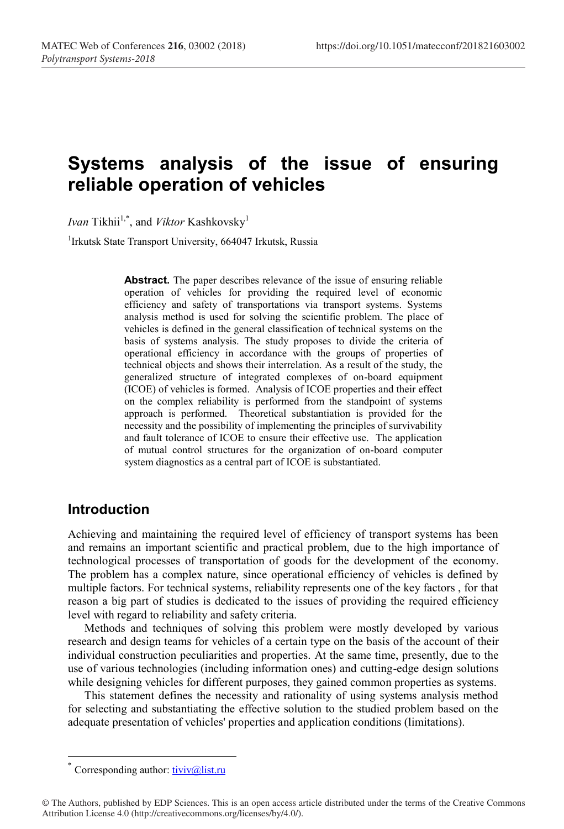# **Systems analysis of the issue of ensuring reliable operation of vehicles**

*Ivan* Tikhii<sup>1,\*</sup>, and *Viktor* Kashkovsky<sup>1</sup>

<sup>1</sup>Irkutsk State Transport University, 664047 Irkutsk, Russia

**Abstract.** The paper describes relevance of the issue of ensuring reliable operation of vehicles for providing the required level of economic efficiency and safety of transportations via transport systems. Systems analysis method is used for solving the scientific problem. The place of vehicles is defined in the general classification of technical systems on the basis of systems analysis. The study proposes to divide the criteria of operational efficiency in accordance with the groups of properties of technical objects and shows their interrelation. As a result of the study, the generalized structure of integrated complexes of on-board equipment (ICOE) of vehicles is formed. Analysis of ICOE properties and their effect on the complex reliability is performed from the standpoint of systems approach is performed. Theoretical substantiation is provided for the necessity and the possibility of implementing the principles of survivability and fault tolerance of ICOE to ensure their effective use. The application of mutual control structures for the organization of on-board computer system diagnostics as a central part of ICOE is substantiated.

#### **Introduction**

Achieving and maintaining the required level of efficiency of transport systems has been and remains an important scientific and practical problem, due to the high importance of technological processes of transportation of goods for the development of the economy. The problem has a complex nature, since operational efficiency of vehicles is defined by multiple factors. For technical systems, reliability represents one of the key factors , for that reason a big part of studies is dedicated to the issues of providing the required efficiency level with regard to reliability and safety criteria.

Methods and techniques of solving this problem were mostly developed by various research and design teams for vehicles of a certain type on the basis of the account of their individual construction peculiarities and properties. At the same time, presently, due to the use of various technologies (including information ones) and cutting-edge design solutions while designing vehicles for different purposes, they gained common properties as systems.

This statement defines the necessity and rationality of using systems analysis method for selecting and substantiating the effective solution to the studied problem based on the adequate presentation of vehicles' properties and application conditions (limitations).

Corresponding author:  $\frac{tiviv@list.ru}{tiv@list.ru}$ 

<sup>©</sup> The Authors, published by EDP Sciences. This is an open access article distributed under the terms of the Creative Commons Attribution License 4.0 (http://creativecommons.org/licenses/by/4.0/).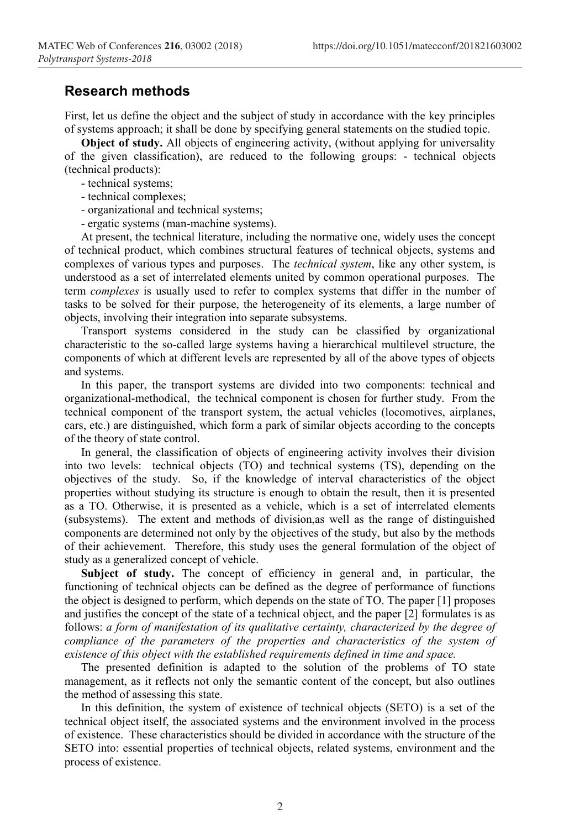### **Research methods**

First, let us define the object and the subject of study in accordance with the key principles of systems approach; it shall be done by specifying general statements on the studied topic.

**Object of study.** All objects of engineering activity, (without applying for universality of the given classification), are reduced to the following groups: - technical objects (technical products):

- technical systems;
- technical complexes;
- organizational and technical systems;

- ergatic systems (man-machine systems).

At present, the technical literature, including the normative one, widely uses the concept of technical product, which combines structural features of technical objects, systems and complexes of various types and purposes. The *technical system*, like any other system, is understood as a set of interrelated elements united by common operational purposes. The term *complexes* is usually used to refer to complex systems that differ in the number of tasks to be solved for their purpose, the heterogeneity of its elements, a large number of objects, involving their integration into separate subsystems.

Transport systems considered in the study can be classified by organizational characteristic to the so-called large systems having a hierarchical multilevel structure, the components of which at different levels are represented by all of the above types of objects and systems.

In this paper, the transport systems are divided into two components: technical and organizational-methodical, the technical component is chosen for further study. From the technical component of the transport system, the actual vehicles (locomotives, airplanes, cars, etc.) are distinguished, which form a park of similar objects according to the concepts of the theory of state control.

In general, the classification of objects of engineering activity involves their division into two levels: technical objects (TO) and technical systems (TS), depending on the objectives of the study. So, if the knowledge of interval characteristics of the object properties without studying its structure is enough to obtain the result, then it is presented as a TO. Otherwise, it is presented as a vehicle, which is a set of interrelated elements (subsystems). The extent and methods of division,as well as the range of distinguished components are determined not only by the objectives of the study, but also by the methods of their achievement. Therefore, this study uses the general formulation of the object of study as a generalized concept of vehicle.

**Subject of study.** The concept of efficiency in general and, in particular, the functioning of technical objects can be defined as the degree of performance of functions the object is designed to perform, which depends on the state of TO. The paper [1] proposes and justifies the concept of the state of a technical object, and the paper [2] formulates is as follows: *a form of manifestation of its qualitative certainty, characterized by the degree of compliance of the parameters of the properties and characteristics of the system of existence of this object with the established requirements defined in time and space.* 

The presented definition is adapted to the solution of the problems of TO state management, as it reflects not only the semantic content of the concept, but also outlines the method of assessing this state.

In this definition, the system of existence of technical objects (SETO) is a set of the technical object itself, the associated systems and the environment involved in the process of existence. These characteristics should be divided in accordance with the structure of the SETO into: essential properties of technical objects, related systems, environment and the process of existence.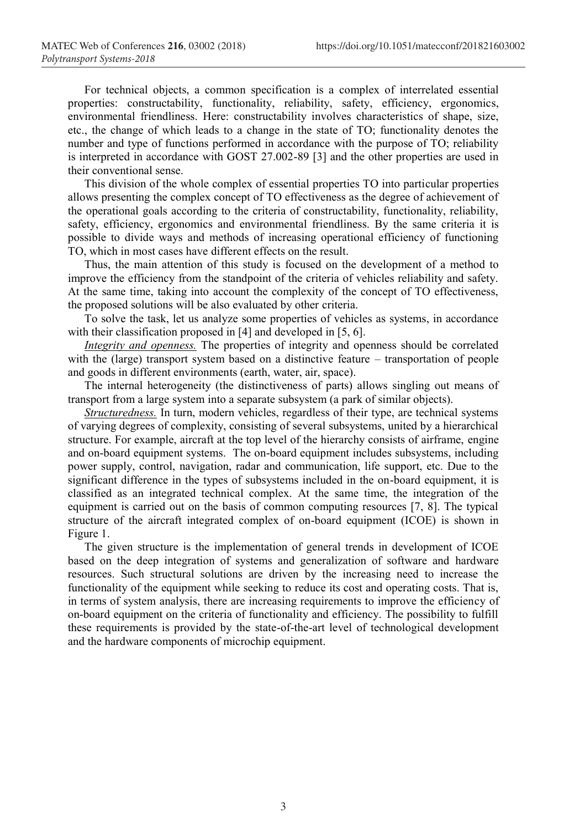For technical objects, a common specification is a complex of interrelated essential properties: constructability, functionality, reliability, safety, efficiency, ergonomics, environmental friendliness. Here: constructability involves characteristics of shape, size, etc., the change of which leads to a change in the state of TO; functionality denotes the number and type of functions performed in accordance with the purpose of TO; reliability is interpreted in accordance with GOST 27.002-89 [3] and the other properties are used in their conventional sense.

This division of the whole complex of essential properties TO into particular properties allows presenting the complex concept of TO effectiveness as the degree of achievement of the operational goals according to the criteria of constructability, functionality, reliability, safety, efficiency, ergonomics and environmental friendliness. By the same criteria it is possible to divide ways and methods of increasing operational efficiency of functioning TO, which in most cases have different effects on the result.

Thus, the main attention of this study is focused on the development of a method to improve the efficiency from the standpoint of the criteria of vehicles reliability and safety. At the same time, taking into account the complexity of the concept of TO effectiveness, the proposed solutions will be also evaluated by other criteria.

To solve the task, let us analyze some properties of vehicles as systems, in accordance with their classification proposed in [4] and developed in [5, 6].

*Integrity and openness.* The properties of integrity and openness should be correlated with the (large) transport system based on a distinctive feature – transportation of people and goods in different environments (earth, water, air, space).

The internal heterogeneity (the distinctiveness of parts) allows singling out means of transport from a large system into a separate subsystem (a park of similar objects).

*Structuredness.* In turn, modern vehicles, regardless of their type, are technical systems of varying degrees of complexity, consisting of several subsystems, united by a hierarchical structure. For example, aircraft at the top level of the hierarchy consists of airframe, engine and on-board equipment systems. The on-board equipment includes subsystems, including power supply, control, navigation, radar and communication, life support, etc. Due to the significant difference in the types of subsystems included in the on-board equipment, it is classified as an integrated technical complex. At the same time, the integration of the equipment is carried out on the basis of common computing resources [7, 8]. The typical structure of the aircraft integrated complex of on-board equipment (ICOE) is shown in Figure 1.

The given structure is the implementation of general trends in development of ICOE based on the deep integration of systems and generalization of software and hardware resources. Such structural solutions are driven by the increasing need to increase the functionality of the equipment while seeking to reduce its cost and operating costs. That is, in terms of system analysis, there are increasing requirements to improve the efficiency of on-board equipment on the criteria of functionality and efficiency. The possibility to fulfill these requirements is provided by the state-of-the-art level of technological development and the hardware components of microchip equipment.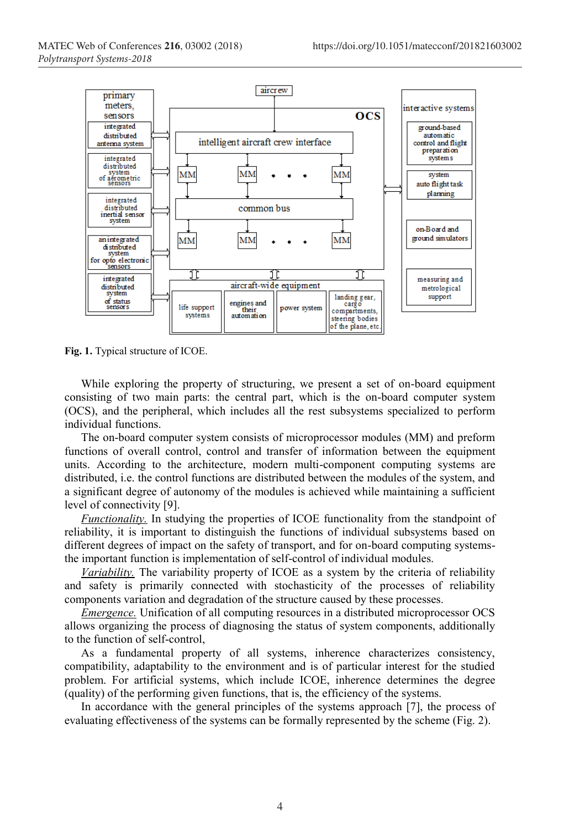

**Fig. 1.** Typical structure of ICOE.

While exploring the property of structuring, we present a set of on-board equipment consisting of two main parts: the central part, which is the on-board computer system (OCS), and the peripheral, which includes all the rest subsystems specialized to perform individual functions.

The on-board computer system consists of microprocessor modules (MM) and preform functions of overall control, control and transfer of information between the equipment units. According to the architecture, modern multi-component computing systems are distributed, i.e. the control functions are distributed between the modules of the system, and a significant degree of autonomy of the modules is achieved while maintaining a sufficient level of connectivity [9].

*Functionality.* In studying the properties of ICOE functionality from the standpoint of reliability, it is important to distinguish the functions of individual subsystems based on different degrees of impact on the safety of transport, and for on-board computing systemsthe important function is implementation of self-control of individual modules.

*Variability.* The variability property of ICOE as a system by the criteria of reliability and safety is primarily connected with stochasticity of the processes of reliability components variation and degradation of the structure caused by these processes.

*Emergence.* Unification of all computing resources in a distributed microprocessor OCS allows organizing the process of diagnosing the status of system components, additionally to the function of self-control,

As a fundamental property of all systems, inherence characterizes consistency, compatibility, adaptability to the environment and is of particular interest for the studied problem. For artificial systems, which include ICOE, inherence determines the degree (quality) of the performing given functions, that is, the efficiency of the systems.

In accordance with the general principles of the systems approach [7], the process of evaluating effectiveness of the systems can be formally represented by the scheme (Fig. 2).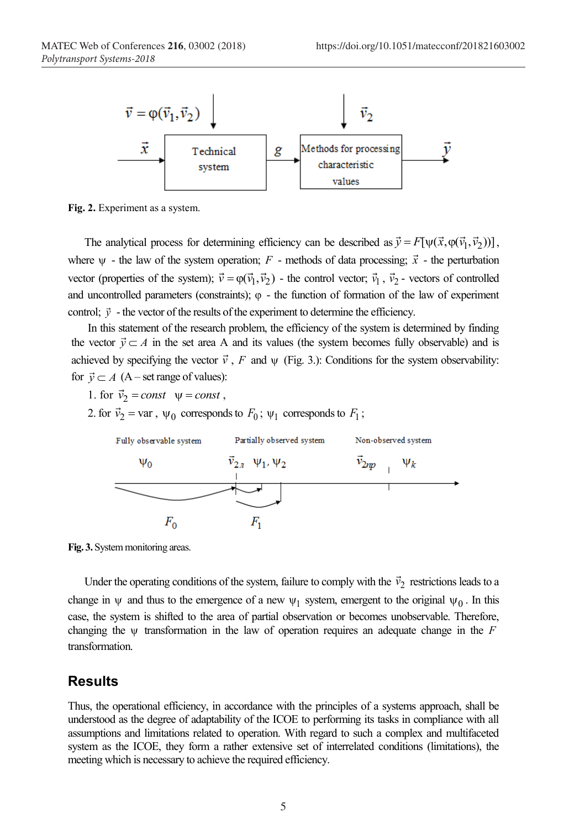

**Fig. 2.** Experiment as a system.

The analytical process for determining efficiency can be described as  $\vec{y} = F[\psi(\vec{x}, \phi(\vec{y}, \vec{y}_2))]$ , where  $\psi$  - the law of the system operation; *F* - methods of data processing;  $\vec{x}$  - the perturbation vector (properties of the system);  $\vec{v} = \varphi(\vec{v}_1, \vec{v}_2)$  - the control vector;  $\vec{v}_1$ ,  $\vec{v}_2$  - vectors of controlled and uncontrolled parameters (constraints);  $\varphi$  - the function of formation of the law of experiment control;  $\vec{v}$  - the vector of the results of the experiment to determine the efficiency.

In this statement of the research problem, the efficiency of the system is determined by finding the vector  $\vec{y} \subset A$  in the set area A and its values (the system becomes fully observable) and is achieved by specifying the vector  $\vec{v}$ , *F* and  $\psi$  (Fig. 3.): Conditions for the system observability: for  $\vec{y} \subset A$  (A – set range of values):

- 1. for  $\vec{v}_2 = const$   $\psi = const$ ,
- 2. for  $\vec{v}_2$  = var ,  $\psi_0$  corresponds to  $F_0$ ;  $\psi_1$  corresponds to  $F_1$ ;



**Fig. 3.** System monitoring areas.

Under the operating conditions of the system, failure to comply with the  $\vec{v}_2$  restrictions leads to a change in  $\psi$  and thus to the emergence of a new  $\psi_1$  system, emergent to the original  $\psi_0$ . In this case, the system is shifted to the area of partial observation or becomes unobservable. Therefore, changing the  $\psi$  transformation in the law of operation requires an adequate change in the *F* transformation.

#### **Results**

Thus, the operational efficiency, in accordance with the principles of a systems approach, shall be understood as the degree of adaptability of the ICOE to performing its tasks in compliance with all assumptions and limitations related to operation. With regard to such a complex and multifaceted system as the ICOE, they form a rather extensive set of interrelated conditions (limitations), the meeting which is necessary to achieve the required efficiency.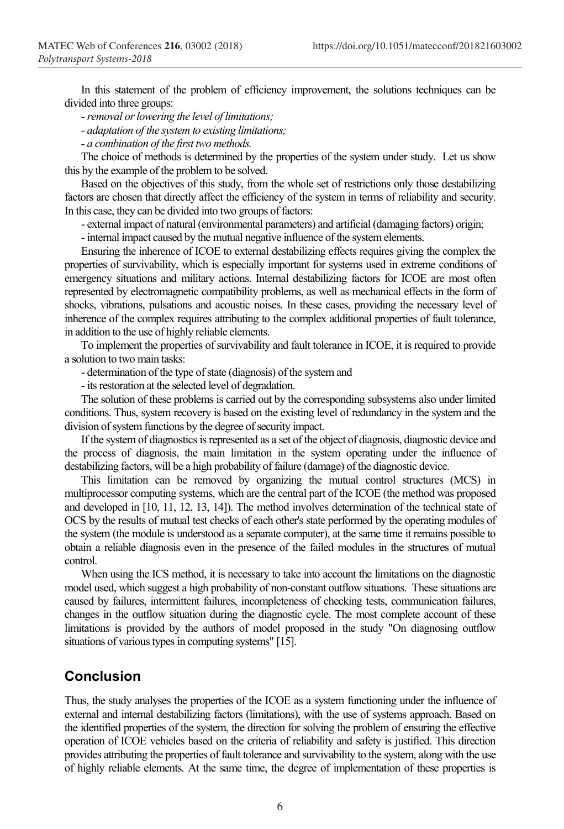In this statement of the problem of efficiency improvement, the solutions techniques can be divided into three groups:

*-removal or lowering the level of limitations;*

*- adaptation of the system to existing limitations;*

*- a combination of the first two methods.*

The choice of methods is determined by the properties of the system under study. Let us show this by the example of the problem to be solved.

Based on the objectives of this study, from the whole set of restrictions only those destabilizing factors are chosen that directly affect the efficiency of the system in terms of reliability and security. In this case, they can be divided into two groups of factors:

- external impact of natural (environmental parameters) and artificial (damaging factors) origin;

- internal impact caused by the mutual negative influence of the system elements.

Ensuring the inherence of ICOE to external destabilizing effects requires giving the complex the properties of survivability, which is especially important for systems used in extreme conditions of emergency situations and military actions. Internal destabilizing factors for ICOE are most often represented by electromagnetic compatibility problems, as well as mechanical effects in the form of shocks, vibrations, pulsations and acoustic noises. In these cases, providing the necessary level of inherence of the complex requires attributing to the complex additional properties of fault tolerance, in addition to the use of highly reliable elements.

To implement the properties of survivability and fault tolerance in ICOE, it is required to provide a solution to two main tasks:

- determination of the type of state (diagnosis) of the system and

- its restoration at the selected level of degradation.

The solution of these problems is carried out by the corresponding subsystems also under limited conditions. Thus, system recovery is based on the existing level of redundancy in the system and the division of system functions by the degree of security impact.

If the system of diagnostics is represented as a set of the object of diagnosis, diagnostic device and the process of diagnosis, the main limitation in the system operating under the influence of destabilizing factors, will be a high probability of failure (damage) of the diagnostic device.

This limitation can be removed by organizing the mutual control structures (MCS) in multiprocessor computing systems, which are the central part of the ICOE (the method was proposed and developed in [10, 11, 12, 13, 14]). The method involves determination of the technical state of OCS by the results of mutual test checks of each other's state performed by the operating modules of the system (the module is understood as a separate computer), at the same time it remains possible to obtain a reliable diagnosis even in the presence of the failed modules in the structures of mutual control.

When using the ICS method, it is necessary to take into account the limitations on the diagnostic model used, which suggest a high probability of non-constant outflow situations. These situations are caused by failures, intermittent failures, incompleteness of checking tests, communication failures, changes in the outflow situation during the diagnostic cycle. The most complete account of these limitations is provided by the authors of model proposed in the study "On diagnosing outflow situations of various types in computing systems" [15].

## **Conclusion**

Thus, the study analyses the properties of the ICOE as a system functioning under the influence of external and internal destabilizing factors (limitations), with the use of systems approach. Based on the identified properties of the system, the direction for solving the problem of ensuring the effective operation of ICOE vehicles based on the criteria of reliability and safety is justified. This direction provides attributing the properties of fault tolerance and survivability to the system, along with the use of highly reliable elements. At the same time, the degree of implementation of these properties is